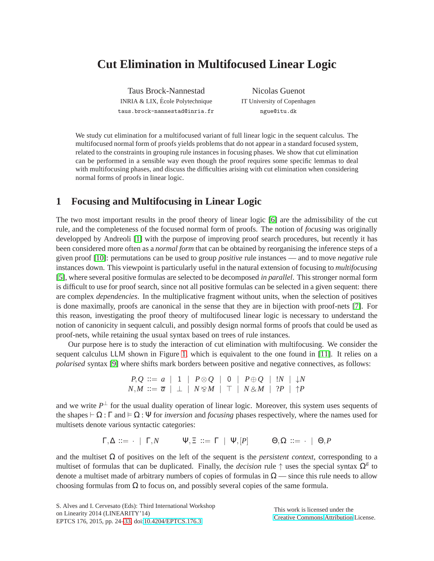# **Cut Elimination in Multifocused Linear Logic**

Taus Brock-Nannestad INRIA & LIX, Ecole Polytechnique ´ taus.brock-nannestad@inria.fr

Nicolas Guenot IT University of Copenhagen ngue@itu.dk

We study cut elimination for a multifocused variant of full linear logic in the sequent calculus. The multifocused normal form of proofs yields problems that do not appear in a standard focused system, related to the constraints in grouping rule instances in focusing phases. We show that cut elimination can be performed in a sensible way even though the proof requires some specific lemmas to deal with multifocusing phases, and discuss the difficulties arising with cut elimination when considering normal forms of proofs in linear logic.

### **1 Focusing and Multifocusing in Linear Logic**

The two most important results in the proof theory of linear logic [\[6\]](#page-8-0) are the admissibility of the cut rule, and the completeness of the focused normal form of proofs. The notion of *focusing* was originally developped by Andreoli [\[1\]](#page-8-1) with the purpose of improving proof search procedures, but recently it has been considered more often as a *normal form* that can be obtained by reorganising the inference steps of a given proof [\[10\]](#page-9-1): permutations can be used to group *positive* rule instances — and to move *negative* rule instances down. This viewpoint is particularly useful in the natural extension of focusing to *multifocusing* [\[5\]](#page-8-2), where several positive formulas are selected to be decomposed *in parallel*. This stronger normal form is difficult to use for proof search, since not all positive formulas can be selected in a given sequent: there are complex *dependencies*. In the multiplicative fragment without units, when the selection of positives is done maximally, proofs are canonical in the sense that they are in bijection with proof-nets [\[7\]](#page-8-3). For this reason, investigating the proof theory of multifocused linear logic is necessary to understand the notion of canonicity in sequent calculi, and possibly design normal forms of proofs that could be used as proof-nets, while retaining the usual syntax based on trees of rule instances.

Our purpose here is to study the interaction of cut elimination with multifocusing. We consider the sequent calculus LLM shown in Figure [1,](#page-1-0) which is equivalent to the one found in [\[11\]](#page-9-2). It relies on a *polarised* syntax [\[9\]](#page-9-3) where shifts mark borders between positive and negative connectives, as follows:

$$
\begin{array}{c|c|c|c|c|c|c|c|c|c|c} P,Q & ::= & a & | & 1 & | & P \otimes Q & | & 0 & | & P \oplus Q & | & !N & | & \downarrow N \\ N,M & ::= & \overline{a} & | & \perp & | & N \otimes M & | & \top & | & N \otimes M & | & ?P & | & \uparrow P \end{array}
$$

and we write  $P^{\perp}$  for the usual duality operation of linear logic. Moreover, this system uses sequents of the shapes  $\vdash \Omega : \Gamma$  and  $\models \Omega : \Psi$  for *inversion* and *focusing* phases respectively, where the names used for multisets denote various syntactic categories:

$$
\Gamma, \Delta ::= \cdot \mid \Gamma, N \qquad \Psi, \Xi ::= \Gamma \mid \Psi, [P] \qquad \Theta, \Omega ::= \cdot \mid \Theta, P
$$

and the multiset  $\Omega$  of positives on the left of the sequent is the *persistent context*, corresponding to a multiset of formulas that can be duplicated. Finally, the *decision* rule  $\uparrow$  uses the special syntax  $\Omega^{\vec{n}}$  to denote a multiset made of arbitrary numbers of copies of formulas in  $\Omega$  — since this rule needs to allow choosing formulas from  $\Omega$  to focus on, and possibly several copies of the same formula.

S. Alves and I. Cervesato (Eds): Third International Workshop on Linearity 2014 (LINEARITY'14) EPTCS 176, 2015, pp. 24[–33,](#page-9-0) doi[:10.4204/EPTCS.176.3](http://dx.doi.org/10.4204/EPTCS.176.3)

This work is licensed under the [Creative Commons](http://creativecommons.org) [Attribution](http://creativecommons.org/licenses/by/3.0/) License.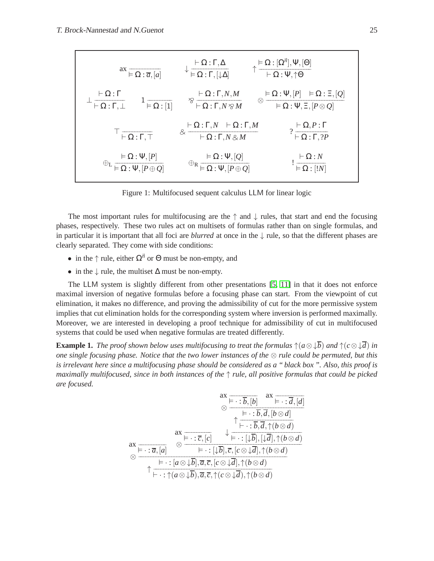| $ax \overline{\vDash Q : \overline{a}, [a]}$                                                               | $\downarrow \frac{\vdash \Omega : \Gamma, \Delta}{\models \Omega : \Gamma, [\downarrow \Delta]}$                                           | $\uparrow \frac{\vDash \Omega : [\Omega^{\vec{n}}], \Psi, [\Theta]}{\vDash \Omega : \Psi, \uparrow \Theta}$             |
|------------------------------------------------------------------------------------------------------------|--------------------------------------------------------------------------------------------------------------------------------------------|-------------------------------------------------------------------------------------------------------------------------|
| $\vdash \Omega : \Gamma$<br>$1\overline{\vDash \Omega : [1]}$<br>$\overline{\vdash \Omega : \Gamma, \bot}$ | $\otimes \frac{\vdash \Omega \text{ : } \Gamma, N, M}{\vdash \Omega \text{ : } \Gamma, N \otimes M}$                                       | $\otimes \frac{\vDash \Omega : \Psi , [P] \quad \vDash \Omega : \Xi , [Q]}{\vDash \Omega : \Psi , \Xi , [P \otimes Q]}$ |
| $\top$ $\frac{1}{\vdash \Omega : \Gamma, \top}$                                                            | $\otimes \frac{\vdash \Omega \text{ : } \Gamma, N \quad \vdash \Omega \text{ : } \Gamma, M}{\vdash \Omega \text{ : } \Gamma, N \otimes M}$ | $? \frac{\vdash \Omega, P : \Gamma}{\vdash \Omega : \Gamma, ?P}$                                                        |
| $\models \Omega : \Psi, [P] \ \overline{\models \Omega : \Psi, [P \oplus Q]}$                              | $\oplus_R$ $\frac{\vDash \Omega : \Psi, [Q]}{\vDash \Omega : \Psi, [P \oplus Q]}$                                                          | $:\frac{\vdash \Omega : N}{\vDash \Omega : [!N]}$                                                                       |

<span id="page-1-0"></span>Figure 1: Multifocused sequent calculus LLM for linear logic

The most important rules for multifocusing are the  $\uparrow$  and  $\downarrow$  rules, that start and end the focusing phases, respectively. These two rules act on multisets of formulas rather than on single formulas, and in particular it is important that all foci are *blurred* at once in the ↓ rule, so that the different phases are clearly separated. They come with side conditions:

- in the  $\uparrow$  rule, either  $\Omega^{\vec{n}}$  or  $\Theta$  must be non-empty, and
- in the  $\downarrow$  rule, the multiset  $\Delta$  must be non-empty.

The LLM system is slightly different from other presentations [\[5,](#page-8-2) [11\]](#page-9-2) in that it does not enforce maximal inversion of negative formulas before a focusing phase can start. From the viewpoint of cut elimination, it makes no difference, and proving the admissibility of cut for the more permissive system implies that cut elimination holds for the corresponding system where inversion is performed maximally. Moreover, we are interested in developing a proof technique for admissibility of cut in multifocused systems that could be used when negative formulas are treated differently.

<span id="page-1-1"></span>**Example 1.** The proof shown below uses multifocusing to treat the formulas  $\uparrow$ ( $a \otimes \downarrow \overline{b}$ ) and  $\uparrow$ ( $c \otimes \downarrow \overline{d}$ ) in *one single focusing phase. Notice that the two lower instances of the* ⊗ *rule could be permuted, but this is irrelevant here since a multifocusing phase should be considered as a " black box ". Also, this proof is maximally multifocused, since in both instances of the* ↑ *rule, all positive formulas that could be picked are focused.*

$$
\begin{array}{c}\n\text{ax } \frac{\mathbf{a} \times \mathbf{b} \cdot \mathbf{b}}{\mathbf{b} \cdot \mathbf{b} \cdot \mathbf{b}} = \mathbf{a} \cdot \mathbf{b} \cdot \mathbf{c} \\
\hline\n\text{ax } \frac{\mathbf{b} \cdot \mathbf{b} \cdot \mathbf{c}}{\mathbf{b} \cdot \mathbf{c} \cdot \mathbf{b} \cdot \mathbf{d}} = \mathbf{b} \cdot \mathbf{b} \cdot \mathbf{c} \\
\text{ax } \frac{\mathbf{a} \times \mathbf{b} \cdot \mathbf{c}}{\mathbf{b} \cdot \mathbf{c} \cdot \mathbf{c}} = \mathbf{b} \cdot \mathbf{c} \cdot \mathbf{c} \cdot \mathbf{c} \\
\hline\n\text{ax } \frac{\mathbf{b} \cdot \mathbf{c} \cdot \mathbf{c}}{\mathbf{b} \cdot \mathbf{c} \cdot \mathbf{c}} = \mathbf{b} \cdot \mathbf{c} \cdot \mathbf{c} \cdot \mathbf{c} \\
\hline\n\text{ax } \frac{\mathbf{b} \cdot \mathbf{c} \cdot \mathbf{c}}{\mathbf{b} \cdot \mathbf{c} \cdot \mathbf{c}} = \mathbf{b} \cdot \mathbf{c} \cdot \mathbf{c} \cdot \mathbf{c} \cdot \mathbf{c} \cdot \mathbf{c} \cdot \mathbf{c} \cdot \mathbf{c} \cdot \mathbf{c} \\
\hline\n\text{ax } \frac{\mathbf{b} \cdot \mathbf{c} \cdot \mathbf{c}}{\mathbf{b} \cdot \mathbf{c} \cdot \mathbf{c} \cdot \mathbf{c}} = \mathbf{b} \cdot \mathbf{c} \cdot \mathbf{c} \cdot \mathbf{c} \cdot \mathbf{c} \cdot \mathbf{c} \cdot \mathbf{c} \cdot \mathbf{c} \cdot \mathbf{c} \cdot \mathbf{c} \cdot \mathbf{c} \cdot \mathbf{c} \\
\hline\n\text{ax } \frac{\mathbf{b} \cdot \mathbf{c} \cdot \mathbf{c}}{\mathbf{b} \cdot \mathbf{c} \cdot \mathbf{c} \cdot \mathbf{c}} = \mathbf{c} \cdot \mathbf{c} \cdot \mathbf{c} \cdot \mathbf{b} \cdot \mathbf{c} \cdot \mathbf{c} \cdot \mathbf{c} \cdot \mathbf{c} \cdot \mathbf{c}
$$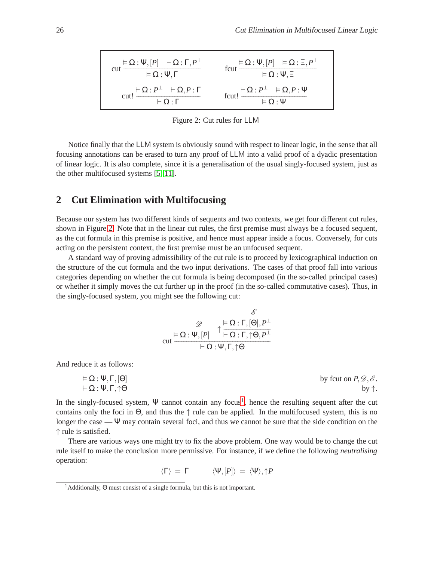$$
\text{cut} \frac{\models \Omega : \Psi, [P] \quad \vdash \Omega : \Gamma, P^{\perp} \quad \text{fcut} \frac{\models \Omega : \Psi, [P] \quad \models \Omega : \Xi, P^{\perp} \quad \text{fcut}}{\models \Omega : \Psi, \Xi} \quad \text{fcut!} \frac{\models \Omega : \Psi, [P] \quad \models \Omega : \Xi, P^{\perp} \quad \text{fcut!}}{\models \Omega : P^{\perp} \quad \models \Omega, P : \Psi} \quad \text{fcut!} \frac{\models \Omega : P^{\perp} \quad \models \Omega, P : \Psi}{\models \Omega : \Psi}
$$

<span id="page-2-0"></span>Figure 2: Cut rules for LLM

Notice finally that the LLM system is obviously sound with respect to linear logic, in the sense that all focusing annotations can be erased to turn any proof of LLM into a valid proof of a dyadic presentation of linear logic. It is also complete, since it is a generalisation of the usual singly-focused system, just as the other multifocused systems [\[5,](#page-8-2) [11\]](#page-9-2).

## **2 Cut Elimination with Multifocusing**

Because our system has two different kinds of sequents and two contexts, we get four different cut rules, shown in Figure [2.](#page-2-0) Note that in the linear cut rules, the first premise must always be a focused sequent, as the cut formula in this premise is positive, and hence must appear inside a focus. Conversely, for cuts acting on the persistent context, the first premise must be an unfocused sequent.

A standard way of proving admissibility of the cut rule is to proceed by lexicographical induction on the structure of the cut formula and the two input derivations. The cases of that proof fall into various categories depending on whether the cut formula is being decomposed (in the so-called principal cases) or whether it simply moves the cut further up in the proof (in the so-called commutative cases). Thus, in the singly-focused system, you might see the following cut:

$$
\begin{array}{cc}\n & \mathscr{D} & \mathscr{E} \\
\hline\n\mathcal{D}: \Psi, [P] & \uparrow \frac{\models \Omega : \Gamma, [\Theta], P^{\perp} \\
\vdots & \uparrow \frac{\vdots \Omega : \Gamma, \uparrow \Theta, P^{\perp}}{\vdots} \\
 & \downarrow \Omega : \Psi, \Gamma, \uparrow \Theta\n\end{array}
$$

And reduce it as follows:

$$
\models \Omega : \Psi, \Gamma, [\Theta] \qquad \qquad \text{by } \text{fcut on } P, \mathscr{D}, \mathscr{E}.
$$
  

$$
\vdash \Omega : \Psi, \Gamma, \uparrow \Theta \qquad \qquad \text{by } \uparrow.
$$

In the singly-focused system,  $\Psi$  cannot contain any focus<sup>[1](#page-2-1)</sup>, hence the resulting sequent after the cut contains only the foci in  $\Theta$ , and thus the  $\uparrow$  rule can be applied. In the multifocused system, this is no longer the case —  $\Psi$  may contain several foci, and thus we cannot be sure that the side condition on the ↑ rule is satisfied.

There are various ways one might try to fix the above problem. One way would be to change the cut rule itself to make the conclusion more permissive. For instance, if we define the following *neutralising* operation:

$$
\langle \Gamma \rangle \, = \, \Gamma \qquad \quad \langle \Psi, [P] \rangle \, = \, \langle \Psi \rangle, \uparrow \hspace{-0.12em} P
$$

<span id="page-2-1"></span><sup>1</sup>Additionally, Θ must consist of a single formula, but this is not important.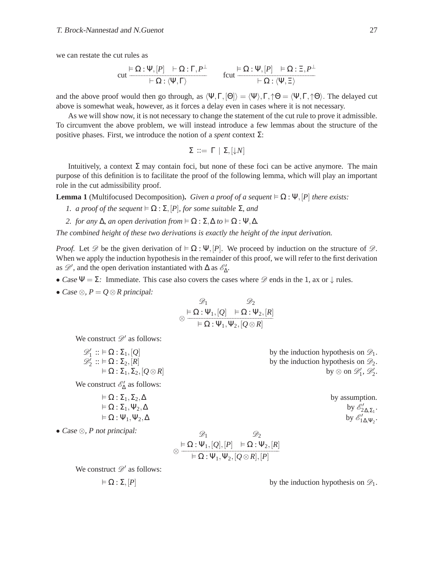we can restate the cut rules as

$$
\operatorname{cut} \frac{\vDash \Omega : \Psi, [P] \quad \vdash \Omega : \Gamma, P^{\perp}}{\vDash \Omega : \langle \Psi, \Gamma \rangle} \qquad \operatorname{fcut} \frac{\vDash \Omega : \Psi, [P] \quad \vDash \Omega : \Xi, P^{\perp}}{\vDash \Omega : \langle \Psi, \Xi \rangle}
$$

and the above proof would then go through, as  $\langle \Psi, \Gamma, [\Theta] \rangle = \langle \Psi, \Gamma, \uparrow \Theta \rangle = \langle \Psi, \Gamma, \uparrow \Theta \rangle$ . The delayed cut above is somewhat weak, however, as it forces a delay even in cases where it is not necessary.

As we will show now, it is not necessary to change the statement of the cut rule to prove it admissible. To circumvent the above problem, we will instead introduce a few lemmas about the structure of the positive phases. First, we introduce the notion of a *spent* context Σ:

$$
\Sigma \ ::= \ \Gamma \ | \ \Sigma, [\downarrow N]
$$

Intuitively, a context  $\Sigma$  may contain foci, but none of these foci can be active anymore. The main purpose of this definition is to facilitate the proof of the following lemma, which will play an important role in the cut admissibility proof.

**Lemma 1** (Multifocused Decomposition). *Given a proof of a sequent*  $\models \Omega : \Psi$ , [P] *there exists:* 

- *1. a proof of the sequent*  $\models \Omega : \Sigma$ ,  $[P]$ *, for some suitable*  $\Sigma$ *, and*
- *2. for any*  $\Delta$ *, an open derivation from*  $\models \Omega : \Sigma, \Delta$  *to*  $\models \Omega : \Psi, \Delta$ *.*

*The combined height of these two derivations is exactly the height of the input derivation.*

*Proof.* Let  $\mathscr D$  be the given derivation of  $\models \Omega : \Psi$ ,  $[P]$ . We proceed by induction on the structure of  $\mathscr D$ . When we apply the induction hypothesis in the remainder of this proof, we will refer to the first derivation as  $\mathscr{D}'$ , and the open derivation instantiated with  $\Delta$  as  $\mathscr{E}'_{\Delta}$ .

- Case  $\Psi = \Sigma$ : Immediate. This case also covers the cases where  $\mathscr{D}$  ends in the 1, ax or  $\downarrow$  rules.
- Case  $\otimes$ ,  $P = Q \otimes R$  principal:

$$
\begin{array}{c}\n\mathcal{D}_1 & \mathcal{D}_2 \\
\otimes \stackrel{\mathsf{F}}{=} \Omega : \Psi_1, [Q] & \mathsf{F} \Omega : \Psi_2, [R] \\
\hline\n\mathsf{F} \Omega : \Psi_1, \Psi_2, [Q \otimes R]\n\end{array}
$$

We construct  $\mathscr{D}'$  as follows:

| $\mathcal{D}'_1$ :: $\models \Omega : \Sigma_1, [Q]$ | by the induction hypothesis on $\mathcal{D}_1$ .   |                |
|------------------------------------------------------|----------------------------------------------------|----------------|
| $\mathcal{D}'_2$ :: $\models \Omega : \Sigma_2, [R]$ | by the induction hypothesis on $\mathcal{D}_2$ .   |                |
| $\models \Omega : \Sigma_1, \Sigma_2, [Q \otimes R]$ | by $\otimes$ on $\mathcal{D}'_1, \mathcal{D}'_2$ . |                |
| We construct $\mathcal{E}'_{\Delta}$ as follows:     | $\models \Omega : \Sigma_1, \Sigma_2, \Delta$      | by assumption. |

»,<br>2Δ,Σ<sub>1</sub> · <sup>9/</sup><br>1Δ,Ψ<sub>2</sub>·

.

• Case  $\otimes$ , *P* not principal:

$$
\begin{array}{cc}\n\mathcal{D}_1 & \mathcal{D}_2 \\
\otimes \stackrel{\vDash}{\longrightarrow} \Omega : \Psi_1, [Q], [P] & \vDash \Omega : \Psi_2, [R] \\
\hline\n\vdash \Omega : \Psi_1, \Psi_2, [Q \otimes R], [P]\n\end{array}
$$

We construct  $\mathscr{D}'$  as follows:

 $\models \Omega : \Sigma_1, \Psi_2, \Delta$ 

 $\models \Omega : \Psi_1, \Psi_2, \Delta$ 

 $\vdash \Omega : \Sigma, [P]$  by the induction hypothesis on  $\mathcal{D}_1$ .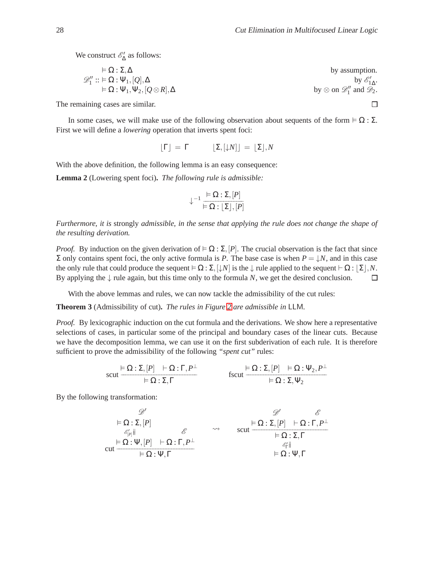We construct  $\mathcal{E}'_{\Delta}$  as follows:

$$
\varphi_1'':=\Omega:\Sigma,\Delta\qquad\qquad\text{by assumption.}\\ \varphi_1'':=\Omega:\Psi_1,[Q],\Delta\qquad\qquad\text{by }\varphi_{1\Delta}'.
$$
  

$$
=\Omega:\Psi_1,\Psi_2,[Q\otimes R],\Delta\qquad\qquad\text{by }\otimes\text{ on }\mathscr{D}_1''\text{ and }\mathscr{D}_2.
$$

The remaining cases are similar.

In some cases, we will make use of the following observation about sequents of the form  $\vdash \Omega : \Sigma$ . First we will define a *lowering* operation that inverts spent foci:

$$
\lfloor \Gamma \rfloor = \Gamma \qquad \lfloor \Sigma, \lfloor \downarrow N \rfloor \rfloor = \lfloor \Sigma \rfloor, N
$$

With the above definition, the following lemma is an easy consequence:

**Lemma 2** (Lowering spent foci)**.** *The following rule is admissible:*

$$
\downarrow^{-1} \frac{\models \Omega : \Sigma, [P]}{\models \Omega : [\Sigma], [P]}
$$

*Furthermore, it is* strongly *admissible, in the sense that applying the rule does not change the shape of the resulting derivation.*

*Proof.* By induction on the given derivation of  $\models \Omega : \Sigma$ , [*P*]. The crucial observation is the fact that since  $\Sigma$  only contains spent foci, the only active formula is *P*. The base case is when  $P = \downarrow N$ , and in this case the only rule that could produce the sequent  $\models \Omega : \Sigma, [\downarrow N]$  is the  $\downarrow$  rule applied to the sequent  $\vdash \Omega : [\Sigma], N$ . By applying the  $\downarrow$  rule again, but this time only to the formula *N*, we get the desired conclusion.  $\Box$ 

With the above lemmas and rules, we can now tackle the admissibility of the cut rules:

**Theorem 3** (Admissibility of cut)**.** *The rules in Figure [2](#page-2-0) are admissible in* LLM*.*

*Proof.* By lexicographic induction on the cut formula and the derivations. We show here a representative selections of cases, in particular some of the principal and boundary cases of the linear cuts. Because we have the decomposition lemma, we can use it on the first subderivation of each rule. It is therefore sufficient to prove the admissibility of the following *"spent cut"* rules:

$$
\text{scut} \frac{\vDash \Omega : \Sigma, [P] \quad \vdash \Omega : \Gamma, P^{\perp}}{\vDash \Omega : \Sigma, \Gamma} \qquad \qquad \text{fscut} \frac{\vDash \Omega : \Sigma, [P] \quad \vDash \Omega : \Psi_2, P^{\perp}}{\vDash \Omega : \Sigma, \Psi_2}
$$

By the following transformation:

$$
\begin{array}{ccc}\n\mathscr{D}' & \mathscr{D}' & \mathscr{E} \\
\models \Omega : \Sigma, [P] & \mathscr{E} & \leadsto & \text{scut} \frac{\models \Omega : \Sigma, [P] + \Omega : \Gamma, P^{\perp} \\
\downarrow^{\mathscr{E}_{[P]}} & \mathscr{E} & \leadsto & \text{scut} \frac{\models \Omega : \Sigma, [P] + \Omega : \Gamma, P^{\perp} \\
\downarrow^{\mathscr{E}_{[T]}} & \downarrow^{\mathscr{E}_{[T]}} & \downarrow^{\mathscr{E}_{[T]}} \\
\text{cut} & \models \Omega : \Psi, \Gamma & \downarrow^{\mathscr{E}_{[T]}} & \downarrow^{\mathscr{E}_{[T]}} & \downarrow^{\mathscr{E}_{[T]}}\n\end{array}
$$

 $\Box$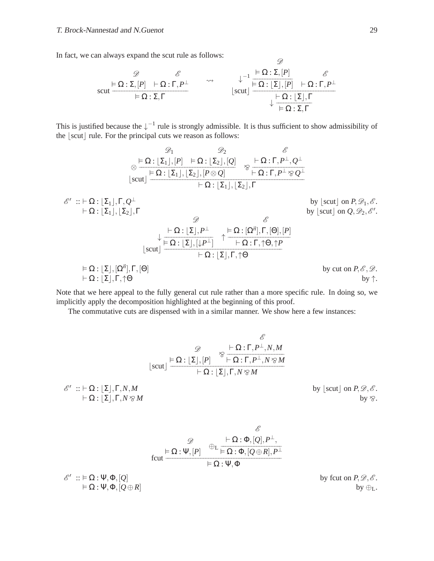In fact, we can always expand the scut rule as follows:

$$
\mathcal{L} = \frac{\mathcal{D}}{\text{scut}} \left\{\n\begin{array}{ccc}\n\mathcal{E} & \mathcal{E} \\
\hline\n\mathcal{E} & \mathcal{E} \\
\hline\n\mathcal{E} & \mathcal{E} \\
\hline\n\mathcal{E} & \mathcal{E} \\
\hline\n\mathcal{E} & \mathcal{E} \\
\hline\n\mathcal{E} & \mathcal{E} \\
\hline\n\mathcal{E} & \mathcal{E} \\
\hline\n\mathcal{E} & \mathcal{E} \\
\hline\n\mathcal{E} & \mathcal{E} \\
\hline\n\mathcal{E} & \mathcal{E} \\
\hline\n\mathcal{E} & \mathcal{E} \\
\hline\n\mathcal{E} & \mathcal{E} \\
\hline\n\mathcal{E} & \mathcal{E} \\
\hline\n\mathcal{E} & \mathcal{E} \\
\hline\n\mathcal{E} & \mathcal{E} \\
\hline\n\mathcal{E} & \mathcal{E} \\
\hline\n\mathcal{E} & \mathcal{E} \\
\hline\n\mathcal{E} & \mathcal{E} \\
\hline\n\mathcal{E} & \mathcal{E} \\
\hline\n\mathcal{E} & \mathcal{E} \\
\hline\n\mathcal{E} & \mathcal{E} \\
\hline\n\mathcal{E} & \mathcal{E} \\
\hline\n\mathcal{E} & \mathcal{E} \\
\hline\n\mathcal{E} & \mathcal{E} \\
\hline\n\mathcal{E} & \mathcal{E} \\
\hline\n\mathcal{E} & \mathcal{E} \\
\hline\n\mathcal{E} & \mathcal{E} \\
\hline\n\mathcal{E} & \mathcal{E} \\
\hline\n\mathcal{E} & \mathcal{E} \\
\hline\n\mathcal{E} & \mathcal{E} \\
\hline\n\mathcal{E} & \mathcal{E} \\
\hline\n\mathcal{E} & \mathcal{E} \\
\hline\n\mathcal{E} & \mathcal{E} \\
\hline\n\mathcal{E} & \mathcal{E} \\
\hline\n\mathcal{E} & \mathcal{E} \\
\hline\n\mathcal{E} & \mathcal{E} \\
\hline\n\mathcal{E} & \mathcal{E} \\
\hline\n\mathcal{E} & \mathcal{E} \\
\hline\n\mathcal{E} & \mathcal{E} \\
\hline\n\mathcal{E} & \mathcal{E} \\
\hline\n\mathcal{E}
$$

 $\mathscr{D}$ 

This is justified because the  $\downarrow^{-1}$  rule is strongly admissible. It is thus sufficient to show admissibility of the  $|\text{scut}|$  rule. For the principal cuts we reason as follows:

$$
\begin{array}{cc}\mathscr{D}_1 & \mathscr{D}_2 & \mathscr{E} \\ \otimes \frac{\vDash \Omega : [\Sigma_1], [P] & \vDash \Omega : [\Sigma_2], [Q]}{\vDash \Omega : [\Sigma_1], [\Sigma_2], [P \otimes Q]} & \gamma \frac{\vdash \Omega : \Gamma, P^\perp, Q^\perp}{\vDash \Omega : \Gamma, P^\perp \otimes Q^\perp} \\ \hline & \vdash \Omega : [\Sigma_1], [\Sigma_2], \Gamma\end{array}
$$

$$
\begin{array}{ll}\n\mathscr{E}' &:: \vdash \Omega : [\Sigma_1], \Gamma, \mathcal{Q}^{\perp} & \text{by } [\text{scut}] \text{ on } P, \mathscr{D}_1, \mathscr{E}.\n\end{array}
$$
\n
$$
\downarrow \qquad \qquad \downarrow \qquad \qquad \downarrow \qquad \qquad \downarrow \qquad \downarrow \qquad \downarrow \qquad \downarrow \qquad \downarrow \qquad \downarrow \qquad \downarrow \qquad \downarrow \qquad \downarrow \qquad \downarrow \qquad \downarrow \qquad \downarrow \qquad \downarrow \qquad \downarrow \qquad \downarrow \qquad \downarrow \qquad \downarrow \qquad \downarrow \qquad \downarrow \qquad \downarrow \qquad \downarrow \qquad \downarrow \qquad \downarrow \qquad \downarrow \qquad \downarrow \qquad \downarrow \qquad \downarrow \qquad \downarrow \qquad \downarrow \qquad \downarrow \qquad \downarrow \qquad \downarrow \qquad \downarrow \qquad \downarrow \qquad \downarrow \qquad \downarrow \qquad \downarrow \qquad \downarrow \qquad \downarrow \qquad \downarrow \qquad \downarrow \qquad \downarrow \qquad \downarrow \qquad \downarrow \qquad \downarrow \qquad \downarrow \qquad \downarrow \qquad \downarrow \qquad \downarrow \qquad \downarrow \qquad \downarrow \qquad \downarrow \qquad \downarrow \qquad \downarrow \qquad \downarrow \qquad \downarrow \qquad \downarrow \qquad \downarrow \qquad \downarrow \qquad \downarrow \qquad \downarrow \qquad \downarrow \qquad \downarrow \qquad \downarrow \qquad \downarrow \qquad \downarrow \qquad \downarrow \qquad \downarrow \qquad \downarrow \qquad \downarrow \qquad \downarrow \qquad \downarrow \qquad \downarrow \qquad \downarrow \qquad \downarrow \qquad \downarrow \qquad \downarrow \qquad \downarrow \qquad \downarrow \qquad \downarrow \qquad \downarrow \qquad \downarrow \qquad \downarrow \qquad \downarrow \qquad \downarrow \qquad \downarrow \qquad \downarrow \qquad \downarrow \qquad \downarrow \qquad \downarrow \qquad \downarrow \qquad \downarrow \qquad \downarrow \qquad \downarrow \qquad \downarrow \qquad \downarrow \qquad \downarrow \qquad \downarrow \qquad \downarrow \qquad \downarrow \qquad \downarrow \qquad \downarrow \qquad \downarrow \qquad \downarrow \qquad \downarrow \qquad \downarrow \qquad \downarrow \
$$

Note that we here appeal to the fully general cut rule rather than a more specific rule. In doing so, we implicitly apply the decomposition highlighted at the beginning of this proof.

The commutative cuts are dispensed with in a similar manner. We show here a few instances:

$$
\begin{array}{c}\n\mathscr{D} & \mathscr{E} \\
\downarrow \mathfrak{Q} & \mathfrak{D} = \mathfrak{Q} : \mathbb{Z} \times \mathbb{Z} \times \mathbb{Z} \times \mathbb{Z} \times \mathbb{Z} \times \mathbb{Z} \times \mathbb{Z} \times \mathbb{Z} \times \mathbb{Z} \times \mathbb{Z} \times \mathbb{Z} \times \mathbb{Z} \times \mathbb{Z} \times \mathbb{Z} \times \mathbb{Z} \times \mathbb{Z} \times \mathbb{Z} \times \mathbb{Z} \times \mathbb{Z} \times \mathbb{Z} \times \mathbb{Z} \times \mathbb{Z} \times \mathbb{Z} \times \mathbb{Z} \times \mathbb{Z} \times \mathbb{Z} \times \mathbb{Z} \times \mathbb{Z} \times \mathbb{Z} \times \mathbb{Z} \times \mathbb{Z} \times \mathbb{Z} \times \mathbb{Z} \times \mathbb{Z} \times \mathbb{Z} \times \mathbb{Z} \times \mathbb{Z} \times \mathbb{Z} \times \mathbb{Z} \times \mathbb{Z} \times \mathbb{Z} \times \mathbb{Z} \times \mathbb{Z} \times \mathbb{Z} \times \mathbb{Z} \times \mathbb{Z} \times \mathbb{Z} \times \mathbb{Z} \times \mathbb{Z} \times \mathbb{Z} \times \mathbb{Z} \times \mathbb{Z} \times \mathbb{Z} \times \mathbb{Z} \times \mathbb{Z} \times \mathbb{Z} \times \mathbb{Z} \times \mathbb{Z} \times \mathbb{Z} \times \mathbb{Z} \times \mathbb{Z} \times \mathbb{Z} \times \mathbb{Z} \times \mathbb{Z} \times \mathbb{Z} \times \mathbb{Z} \times \mathbb{Z} \times \mathbb{Z} \times \mathbb{Z} \times \mathbb{Z} \times \mathbb{Z} \times \mathbb{Z} \times \mathbb{Z} \times \mathbb{Z} \times \mathbb{Z} \times \mathbb{Z} \times \mathbb{Z} \times \mathbb{Z} \times \mathbb{Z} \times \mathbb{Z} \times \mathbb{Z} \times \mathbb{Z} \times \mathbb{Z} \times \mathbb{Z} \times \mathbb{Z} \times \mathbb{Z} \times \mathbb{Z} \times \mathbb{Z} \times \mathbb{Z} \
$$

$$
\mathscr{D}_{\text{fcut}} \xrightarrow{\varnothing} \mathbb{P}_{\text{L}} \xrightarrow{\text{L} \cdot \Phi, [\mathcal{Q}], P^{\perp}, \atop \text{fcut}} \frac{\mathbb{P}_{\text{L}} \xrightarrow{\text{L}} \mathbb{P}_{\text{L}} \cdot \mathbb{P}_{\text{L}} \cdot \mathbb{P}_{\text{L}}}{\text{L} \cdot \mathbb{P}_{\text{L}} \cdot \mathbb{P}_{\text{L}} \cdot \mathbb{P}_{\text{L}} \cdot \mathbb{P}_{\text{L}} \cdot \mathbb{P}_{\text{L}}}
$$

 $\mathscr{E}'$  ::  $\models \Omega$  :  $\Psi$ ,  $\Phi$ ,  $[Q]$  by fcut on *P*,  $\mathscr{D}, \mathscr{E}$ .

 $\mathscr{E}'$ 

 $\vdash \Omega : \Psi, \Phi, [Q \oplus R]$  by  $\oplus_L$ .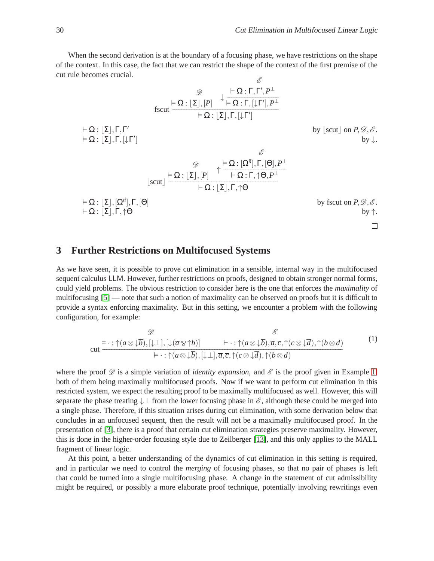When the second derivation is at the boundary of a focusing phase, we have restrictions on the shape of the context. In this case, the fact that we can restrict the shape of the context of the first premise of the cut rule becomes crucial.  $\mathscr{E}$ 

$$
\frac{\mathcal{D}}{\text{fscut}} + \frac{\mathsf{L}\Omega:\Gamma,\Gamma',P^{\perp}}{\mathsf{L}\Omega:\Gamma,[\downarrow\Gamma'],P^{\perp}}
$$
\n
$$
+ \Omega:\lfloor\Sigma\rfloor,\Gamma,\Gamma'
$$
\n
$$
+ \Omega:\lfloor\Sigma\rfloor,\Gamma,\lfloor\downarrow\Gamma'\rfloor
$$
\n
$$
+ \Omega:\lfloor\Sigma\rfloor,\Gamma,[\downarrow\Gamma']
$$
\nby 
$$
\lfloor\text{scut}\rfloor
$$
 on  $P, \mathcal{D}, \mathcal{E}$ .  
\n
$$
\frac{\mathcal{D}}{\mathsf{S}} + \frac{\mathsf{L}\Omega:\lfloor\Sigma\rfloor,\Gamma,[\downarrow\Gamma']}{\mathsf{L}\Omega:\lfloor\Sigma\rfloor,\Gamma,[\Theta],P^{\perp}}
$$
\n
$$
= \Omega:\lfloor\Sigma\rfloor,\lfloor\Omega^{\vec{n}}\rfloor,\Gamma,[\Theta]
$$
\n
$$
+ \Omega:\lfloor\Sigma\rfloor,\Gamma,\uparrow\Theta
$$
\nby 
$$
\text{fscut on } P, \mathcal{D}, \mathcal{E}
$$
.  
\n
$$
\frac{\mathcal{D}}{\mathsf{L}\Omega:\lfloor\Sigma\rfloor,\Gamma,\uparrow\Theta}
$$
\nby 
$$
\text{fscut on } P, \mathcal{D}, \mathcal{E}
$$
.

#### **3 Further Restrictions on Multifocused Systems**

As we have seen, it is possible to prove cut elimination in a sensible, internal way in the multifocused sequent calculus LLM. However, further restrictions on proofs, designed to obtain stronger normal forms, could yield problems. The obvious restriction to consider here is the one that enforces the *maximality* of multifocusing [\[5\]](#page-8-2) — note that such a notion of maximality can be observed on proofs but it is difficult to provide a syntax enforcing maximality. But in this setting, we encounter a problem with the following configuration, for example:

<span id="page-6-0"></span>
$$
\begin{array}{ccc}\n\mathscr{D} & \mathscr{E} \\
\text{cut} & \frac{\models \cdot : \uparrow(a \otimes \downarrow \overline{b}), [\downarrow \perp], [\downarrow(\overline{a} \otimes \uparrow b)] & \vdash \cdot : \uparrow(a \otimes \downarrow \overline{b}), \overline{a}, \overline{c}, \uparrow(c \otimes \downarrow \overline{d}), \uparrow(b \otimes d)}{\models \cdot : \uparrow(a \otimes \downarrow \overline{b}), [\downarrow \perp], \overline{a}, \overline{c}, \uparrow(c \otimes \downarrow \overline{d}), \uparrow(b \otimes d)}\n\end{array} \tag{1}
$$

where the proof  $\mathscr D$  is a simple variation of *identity expansion*, and  $\mathscr E$  is the proof given in Example [1,](#page-1-1) both of them being maximally multifocused proofs. Now if we want to perform cut elimination in this restricted system, we expect the resulting proof to be maximally multifocused as well. However, this will separate the phase treating  $\downarrow \perp$  from the lower focusing phase in  $\mathscr{E}$ , although these could be merged into a single phase. Therefore, if this situation arises during cut elimination, with some derivation below that concludes in an unfocused sequent, then the result will not be a maximally multifocused proof. In the presentation of [\[3\]](#page-8-4), there is a proof that certain cut elimination strategies preserve maximality. However, this is done in the higher-order focusing style due to Zeilberger [\[13\]](#page-9-4), and this only applies to the MALL fragment of linear logic.

At this point, a better understanding of the dynamics of cut elimination in this setting is required, and in particular we need to control the *merging* of focusing phases, so that no pair of phases is left that could be turned into a single multifocusing phase. A change in the statement of cut admissibility might be required, or possibly a more elaborate proof technique, potentially involving rewritings even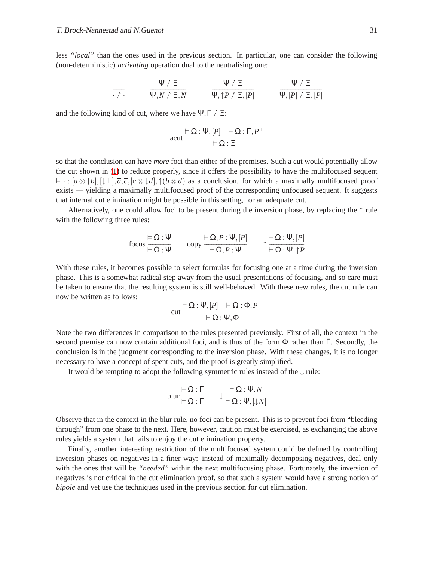less *"local"* than the ones used in the previous section. In particular, one can consider the following (non-deterministic) *activating* operation dual to the neutralising one:

$$
\frac{\Psi \uparrow \Xi}{\Psi, N \uparrow \Xi, N} \qquad \frac{\Psi \uparrow \Xi}{\Psi, \uparrow P \uparrow \Xi, [P]} \qquad \frac{\Psi \uparrow \Xi}{\Psi, [P] \uparrow \Xi, [P]}
$$

and the following kind of cut, where we have  $\Psi, \Gamma \uparrow \Xi$ :

$$
acut \frac{\vDash \Omega : \Psi, [P] \quad \vDash \Omega : \Gamma, P^{\perp}}{\vDash \Omega : \Xi}
$$

so that the conclusion can have *more* foci than either of the premises. Such a cut would potentially allow the cut shown in [\(1\)](#page-6-0) to reduce properly, since it offers the possibility to have the multifocused sequent  $\vdash \cdot : [a \otimes \downarrow b], [\downarrow \perp], \overline{a}, \overline{c}, [c \otimes \downarrow \overline{d}], \uparrow (b \otimes d)$  as a conclusion, for which a maximally multifocused proof exists — yielding a maximally multifocused proof of the corresponding unfocused sequent. It suggests that internal cut elimination might be possible in this setting, for an adequate cut.

Alternatively, one could allow foci to be present during the inversion phase, by replacing the ↑ rule with the following three rules:

$$
\text{focus} \frac{\vDash \Omega : \Psi}{\vDash \Omega : \Psi} \qquad \text{copy} \frac{\vdash \Omega, P : \Psi, [P]}{\vDash \Omega, P : \Psi} \qquad \uparrow \frac{\vDash \Omega : \Psi, [P]}{\vDash \Omega : \Psi, \uparrow P}
$$

With these rules, it becomes possible to select formulas for focusing one at a time during the inversion phase. This is a somewhat radical step away from the usual presentations of focusing, and so care must be taken to ensure that the resulting system is still well-behaved. With these new rules, the cut rule can now be written as follows:

$$
\text{cut} \frac{\vDash \Omega : \Psi, [P] \quad \vDash \Omega : \Phi, P^{\perp}}{\vDash \Omega : \Psi, \Phi}
$$

Note the two differences in comparison to the rules presented previously. First of all, the context in the second premise can now contain additional foci, and is thus of the form Φ rather than Γ. Secondly, the conclusion is in the judgment corresponding to the inversion phase. With these changes, it is no longer necessary to have a concept of spent cuts, and the proof is greatly simplified.

It would be tempting to adopt the following symmetric rules instead of the  $\downarrow$  rule:

blur 
$$
\frac{\vdash \Omega : \Gamma}{\models \Omega : \Gamma}
$$
  $\downarrow \frac{\models \Omega : \Psi, N}{\models \Omega : \Psi, [\downarrow N]}$ 

Observe that in the context in the blur rule, no foci can be present. This is to prevent foci from "bleeding through" from one phase to the next. Here, however, caution must be exercised, as exchanging the above rules yields a system that fails to enjoy the cut elimination property.

Finally, another interesting restriction of the multifocused system could be defined by controlling inversion phases on negatives in a finer way: instead of maximally decomposing negatives, deal only with the ones that will be *"needed"* within the next multifocusing phase. Fortunately, the inversion of negatives is not critical in the cut elimination proof, so that such a system would have a strong notion of *bipole* and yet use the techniques used in the previous section for cut elimination.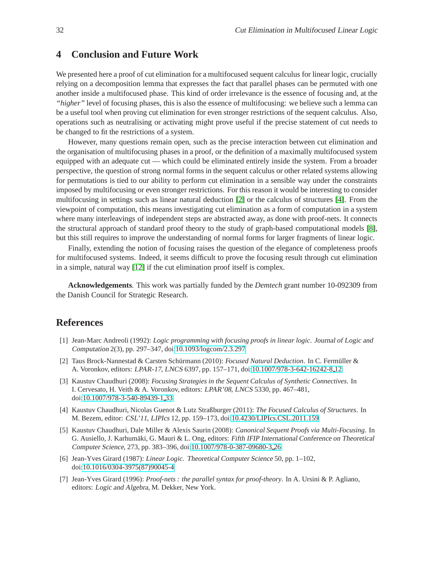### **4 Conclusion and Future Work**

We presented here a proof of cut elimination for a multifocused sequent calculus for linear logic, crucially relying on a decomposition lemma that expresses the fact that parallel phases can be permuted with one another inside a multifocused phase. This kind of order irrelevance is the essence of focusing and, at the *"higher"* level of focusing phases, this is also the essence of multifocusing: we believe such a lemma can be a useful tool when proving cut elimination for even stronger restrictions of the sequent calculus. Also, operations such as neutralising or activating might prove useful if the precise statement of cut needs to be changed to fit the restrictions of a system.

However, many questions remain open, such as the precise interaction between cut elimination and the organisation of multifocusing phases in a proof, or the definition of a maximally multifocused system equipped with an adequate cut — which could be eliminated entirely inside the system. From a broader perspective, the question of strong normal forms in the sequent calculus or other related systems allowing for permutations is tied to our ability to perform cut elimination in a sensible way under the constraints imposed by multifocusing or even stronger restrictions. For this reason it would be interesting to consider multifocusing in settings such as linear natural deduction [\[2\]](#page-8-5) or the calculus of structures [\[4\]](#page-8-6). From the viewpoint of computation, this means investigating cut elimination as a form of computation in a system where many interleavings of independent steps are abstracted away, as done with proof-nets. It connects the structural approach of standard proof theory to the study of graph-based computational models [\[8\]](#page-9-5), but this still requires to improve the understanding of normal forms for larger fragments of linear logic.

Finally, extending the notion of focusing raises the question of the elegance of completeness proofs for multifocused systems. Indeed, it seems difficult to prove the focusing result through cut elimination in a simple, natural way [\[12\]](#page-9-6) if the cut elimination proof itself is complex.

**Acknowledgements**. This work was partially funded by the *Demtech* grant number 10-092309 from the Danish Council for Strategic Research.

#### **References**

- <span id="page-8-1"></span>[1] Jean-Marc Andreoli (1992): *Logic programming with focusing proofs in linear logic*. Journal of Logic and Computation 2(3), pp. 297–347, doi[:10.1093/logcom/2.3.297.](http://dx.doi.org/10.1093/logcom/2.3.297)
- <span id="page-8-5"></span>[2] Taus Brock-Nannestad & Carsten Schürmann (2010): *Focused Natural Deduction*. In C. Fermüller & A. Voronkov, editors: LPAR-17, LNCS 6397, pp. 157–171, doi[:10.1007/978-3-642-16242-8](http://dx.doi.org/10.1007/978-3-642-16242-8_12) 12.
- <span id="page-8-4"></span>[3] Kaustuv Chaudhuri (2008): *Focusing Strategies in the Sequent Calculus of Synthetic Connectives*. In I. Cervesato, H. Veith & A. Voronkov, editors: LPAR'08, LNCS 5330, pp. 467–481, doi[:10.1007/978-3-540-89439-1](http://dx.doi.org/10.1007/978-3-540-89439-1_33) 33.
- <span id="page-8-6"></span>[4] Kaustuv Chaudhuri, Nicolas Guenot & Lutz Straßburger (2011): *The Focused Calculus of Structures*. In M. Bezem, editor: CSL'11, LIPIcs 12, pp. 159–173, doi[:10.4230/LIPIcs.CSL.2011.159.](http://dx.doi.org/10.4230/LIPIcs.CSL.2011.159)
- <span id="page-8-2"></span>[5] Kaustuv Chaudhuri, Dale Miller & Alexis Saurin (2008): *Canonical Sequent Proofs via Multi-Focusing*. In G. Ausiello, J. Karhumäki, G. Mauri & L. Ong, editors: Fifth IFIP International Conference on Theoretical Computer Science, 273, pp. 383–396, doi[:10.1007/978-0-387-09680-3](http://dx.doi.org/10.1007/978-0-387-09680-3_26) 26.
- <span id="page-8-0"></span>[6] Jean-Yves Girard (1987): *Linear Logic*. Theoretical Computer Science 50, pp. 1–102, doi[:10.1016/0304-3975\(87\)90045-4.](http://dx.doi.org/10.1016/0304-3975(87)90045-4)
- <span id="page-8-3"></span>[7] Jean-Yves Girard (1996): *Proof-nets : the parallel syntax for proof-theory*. In A. Ursini & P. Agliano, editors: Logic and Algebra, M. Dekker, New York.